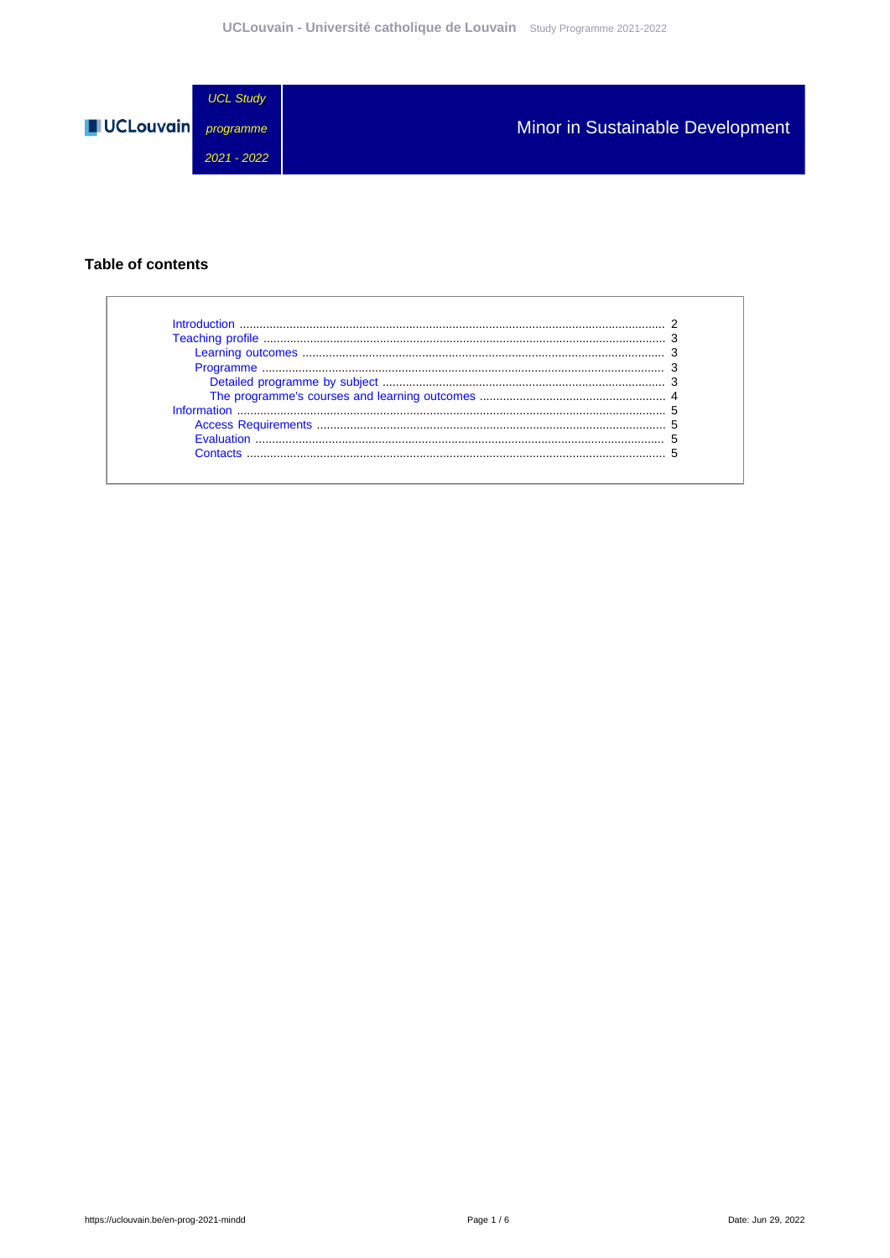

### **Table of contents**

 $\Gamma$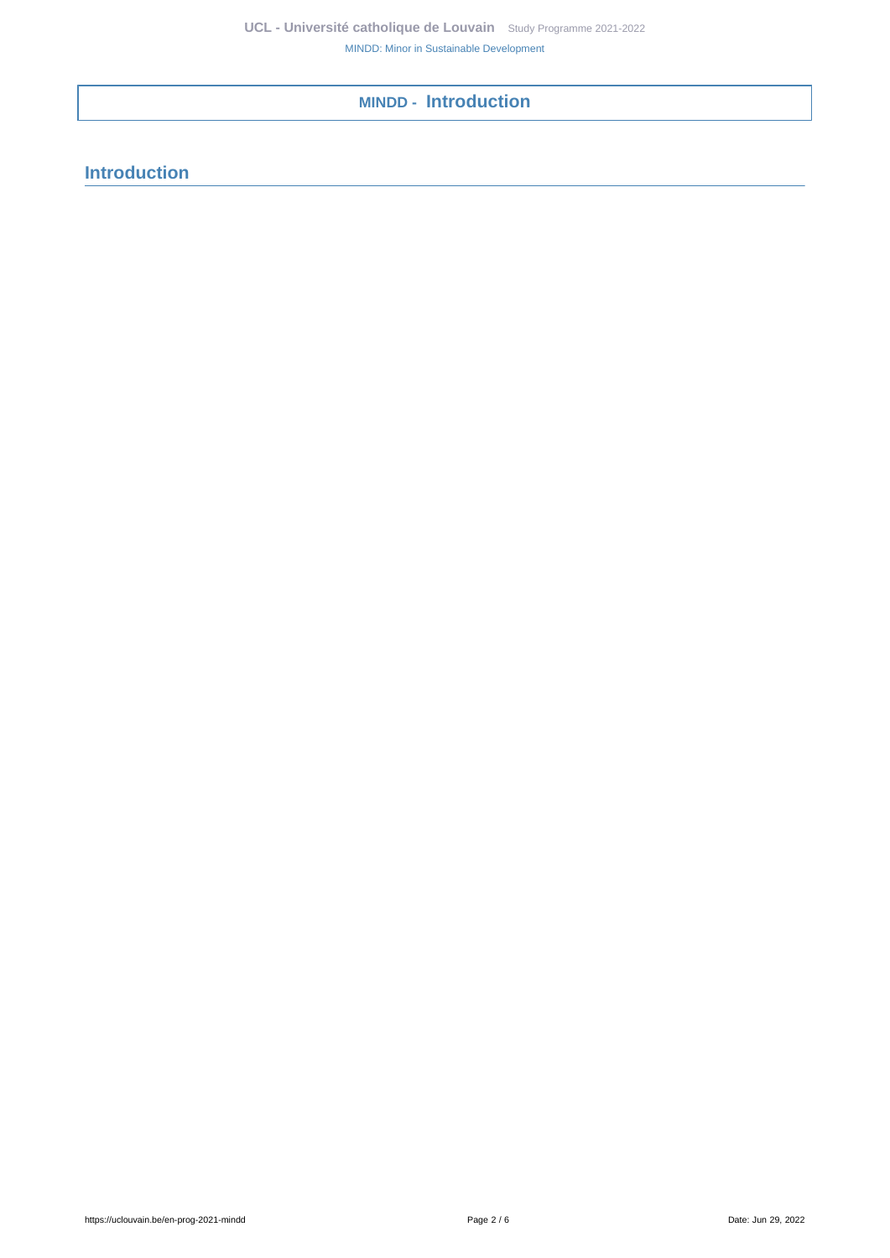# <span id="page-1-0"></span>**MINDD - Introduction**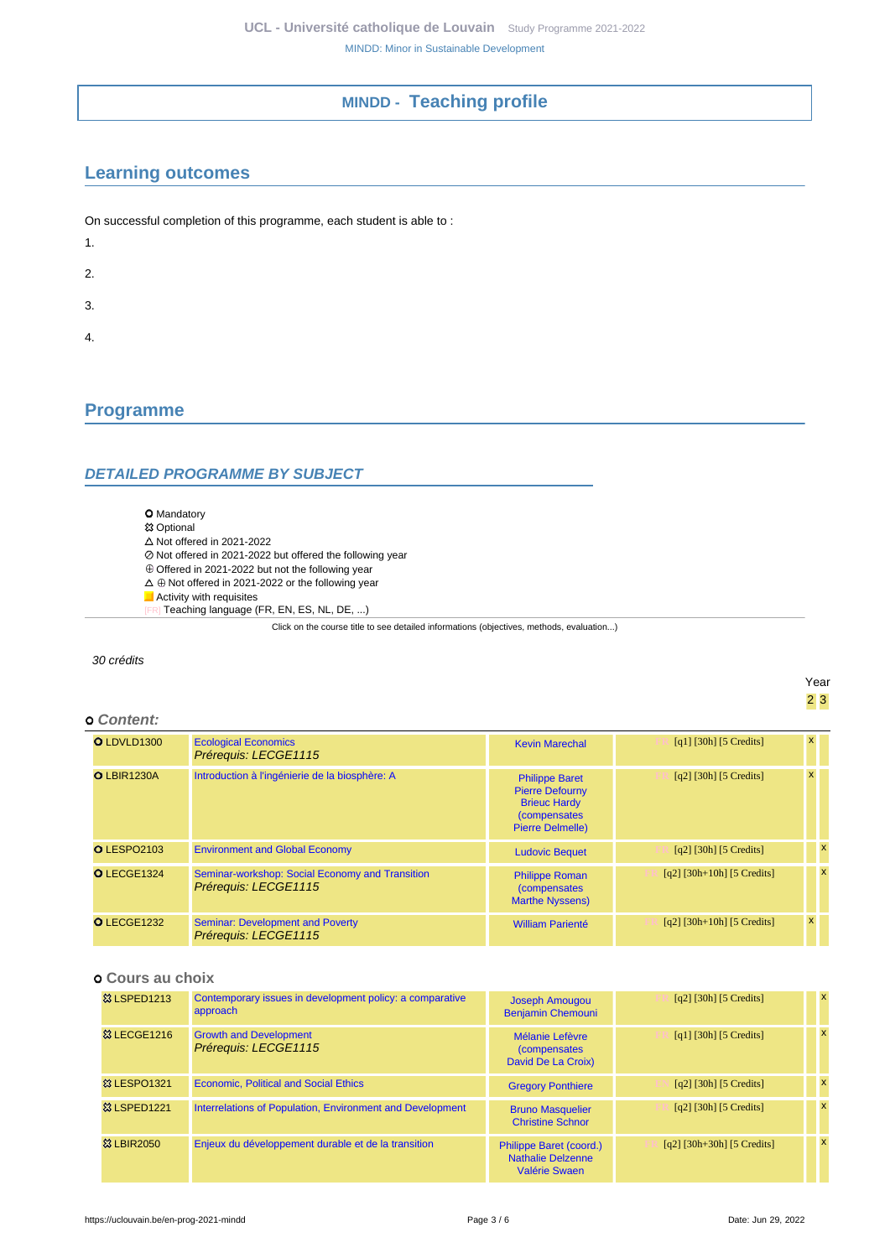## **MINDD - Teaching profile**

## <span id="page-2-1"></span><span id="page-2-0"></span>**Learning outcomes**

On successful completion of this programme, each student is able to :

- 1.
- 2.
- 
- 3.
- 4.

## <span id="page-2-2"></span>**Programme**

### <span id="page-2-3"></span>**DETAILED PROGRAMME BY SUBJECT**

- O Mandatory
- **83 Optional**
- $\triangle$  Not offered in 2021-2022
- Not citered in 2021-2022 but offered the following year
- $\overline{\textcirc}$  Offered in 2021-2022 but not the following year  $\Delta \oplus$  Not offered in 2021-2022 or the following year
- 
- Activity with requisites [FR] Teaching language (FR, EN, ES, NL, DE, ...)

Click on the course title to see detailed informations (objectives, methods, evaluation...)

#### 30 crédits

Year 2 3

### **Content:**

| O LDVLD1300        | <b>Ecological Economics</b><br>Prérequis: LECGE1115                     | <b>Kevin Marechal</b>                                                                                                     | [q1] $[30h]$ [5 Credits]              |   |              |
|--------------------|-------------------------------------------------------------------------|---------------------------------------------------------------------------------------------------------------------------|---------------------------------------|---|--------------|
| <b>O LBIR1230A</b> | Introduction à l'ingénierie de la biosphère: A                          | <b>Philippe Baret</b><br><b>Pierre Defourny</b><br><b>Brieuc Hardy</b><br><i>(compensates)</i><br><b>Pierre Delmelle)</b> | $\lceil q^2 \rceil$ [30h] [5 Credits] |   |              |
| <b>O</b> LESPO2103 | <b>Environment and Global Economy</b>                                   | <b>Ludovic Bequet</b>                                                                                                     | $\lceil q^2 \rceil$ [30h] [5 Credits] |   | $\mathbf{x}$ |
| O LECGE1324        | Seminar-workshop: Social Economy and Transition<br>Prérequis: LECGE1115 | <b>Philippe Roman</b><br><i>(compensates)</i><br><b>Marthe Nyssens)</b>                                                   | $[q2]$ [30h+10h] [5 Credits]          |   | $\mathbf{x}$ |
| O LECGE1232        | <b>Seminar: Development and Poverty</b><br>Prérequis: LECGE1115         | <b>William Parienté</b>                                                                                                   | $[q2]$ [30h+10h] [5 Credits]          | x |              |

### **Cours au choix**

| <b>&amp; LSPED1213</b> | Contemporary issues in development policy: a comparative<br>approach | Joseph Amougou<br><b>Benjamin Chemouni</b>                           | $\lceil q^2 \rceil$ [30h] [5 Credits] | $\mathsf{x}$ |
|------------------------|----------------------------------------------------------------------|----------------------------------------------------------------------|---------------------------------------|--------------|
| <b>&amp; LECGE1216</b> | <b>Growth and Development</b><br>Prérequis: LECGE1115                | Mélanie Lefèvre<br><i>(compensates)</i><br>David De La Croix)        | [q1] [30h] [5 Credits]                | X            |
| <b>&amp; LESPO1321</b> | <b>Economic, Political and Social Ethics</b>                         | <b>Gregory Ponthiere</b>                                             | $[q2]$ [30h] [5 Credits]              | $\mathbf{x}$ |
| <b>83 LSPED1221</b>    | Interrelations of Population, Environment and Development            | <b>Bruno Masquelier</b><br><b>Christine Schnor</b>                   | $[q2]$ [30h] [5 Credits]              | $\mathbf{x}$ |
| <b>83 LBIR2050</b>     | Enjeux du développement durable et de la transition                  | Philippe Baret (coord.)<br><b>Nathalie Delzenne</b><br>Valérie Swaen | $[q2]$ [30h+30h] [5 Credits]          | $\mathsf{x}$ |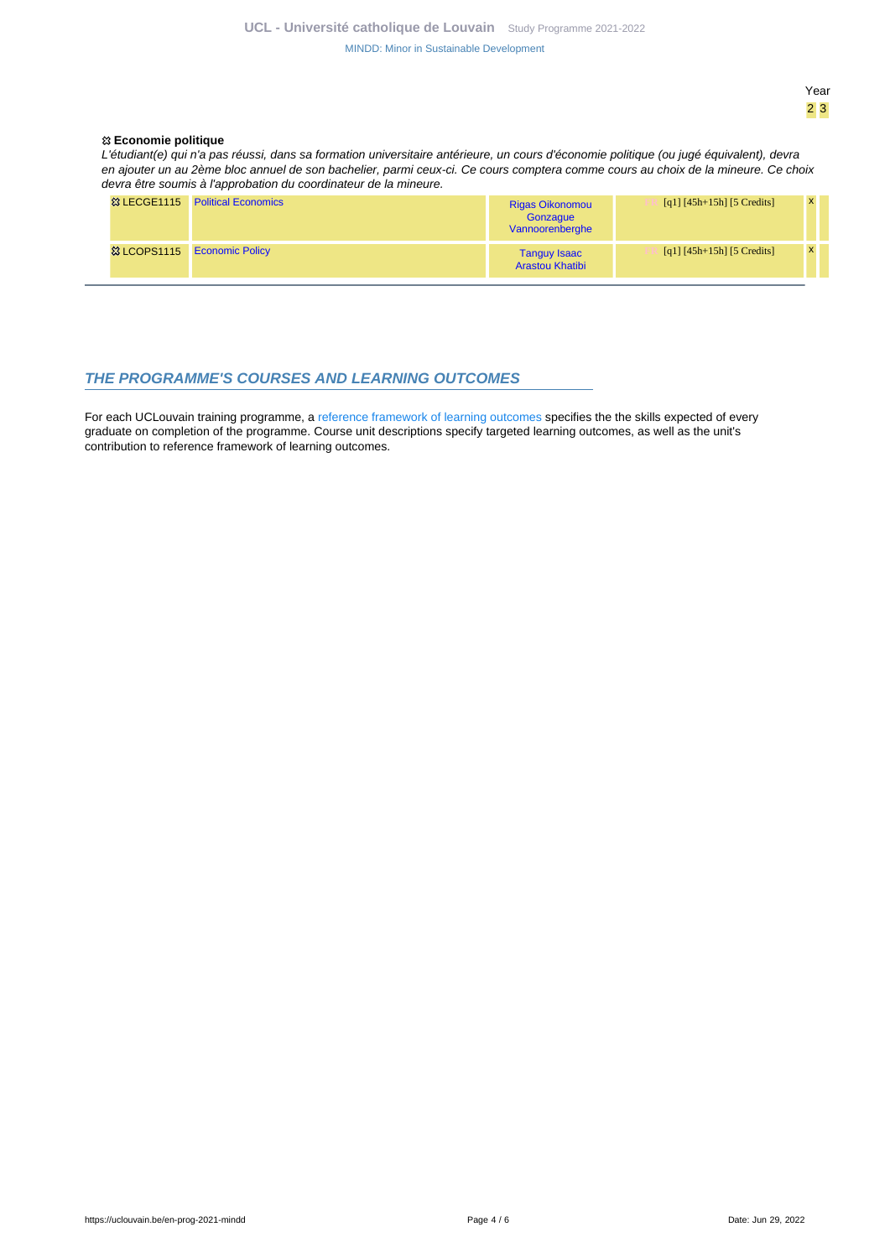[MINDD: Minor in Sustainable Development](https://uclouvain.be/en-prog-2021-mindd.html)

#### Year 2 3

#### **Economie politique**

L'étudiant(e) qui n'a pas réussi, dans sa formation universitaire antérieure, un cours d'économie politique (ou jugé équivalent), devra en ajouter un au 2ème bloc annuel de son bachelier, parmi ceux-ci. Ce cours comptera comme cours au choix de la mineure. Ce choix devra être soumis à l'approbation du coordinateur de la mineure.

| <sup>33</sup> LECGE1115 Political Economics | <b>Rigas Oikonomou</b><br>Gonzaque<br>Vannoorenberghe | $[q1] [45h+15h] [5 Credits]$ |  |
|---------------------------------------------|-------------------------------------------------------|------------------------------|--|
| <sup>3</sup> & LCOPS1115 Economic Policy    | Tanguy Isaac<br><b>Arastou Khatibi</b>                | $[q1] [45h+15h] [5 Credits]$ |  |

#### <span id="page-3-0"></span>**THE PROGRAMME'S COURSES AND LEARNING OUTCOMES**

For each UCLouvain training programme, a [reference framework of learning outcomes](https://uclouvain.be/en-prog-2021-mindd-competences_et_acquis.html) specifies the the skills expected of every graduate on completion of the programme. Course unit descriptions specify targeted learning outcomes, as well as the unit's contribution to reference framework of learning outcomes.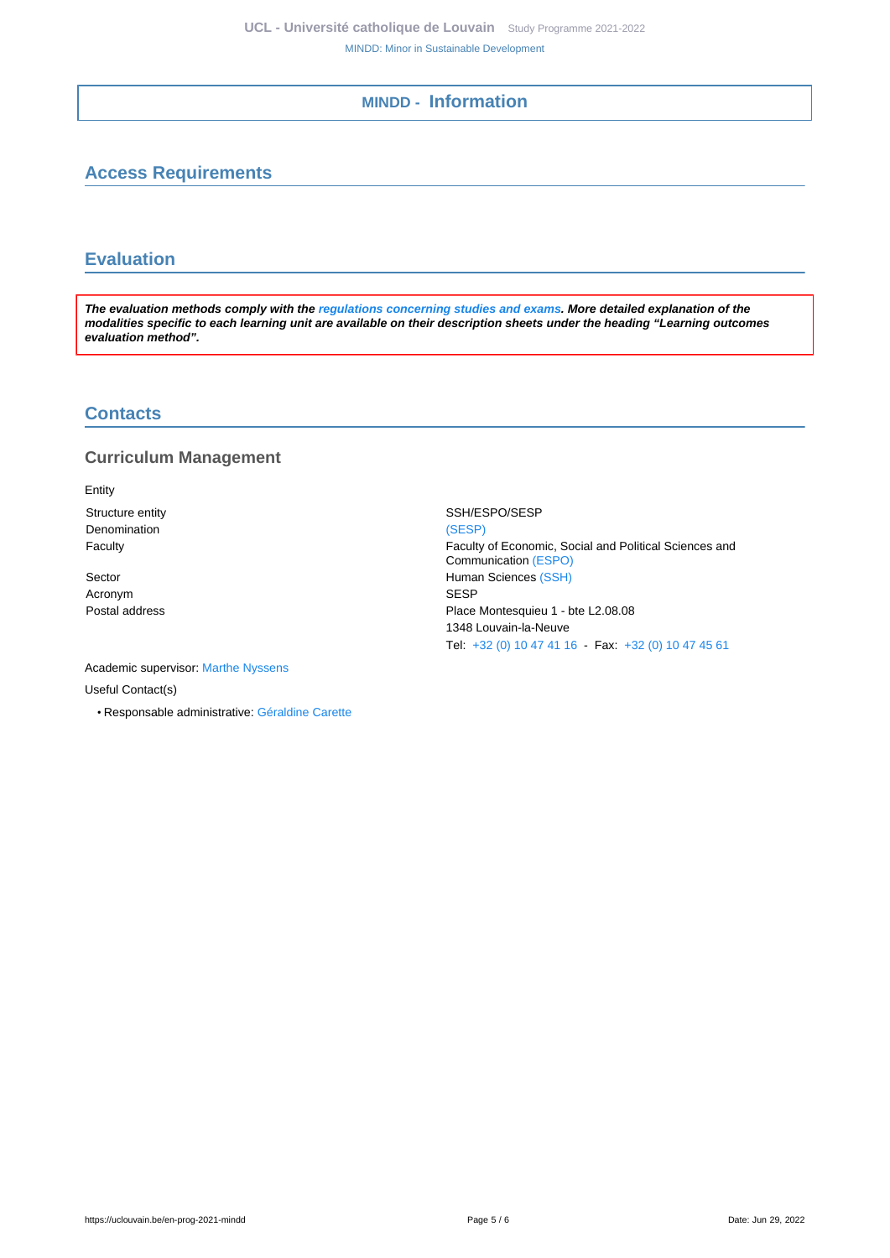## **MINDD - Information**

## <span id="page-4-1"></span><span id="page-4-0"></span>**Access Requirements**

## <span id="page-4-2"></span>**Evaluation**

**The evaluation methods comply with the [regulations concerning studies and exams](https://uclouvain.be/fr/decouvrir/rgee.html). More detailed explanation of the modalities specific to each learning unit are available on their description sheets under the heading "Learning outcomes evaluation method".**

### <span id="page-4-3"></span>**Contacts**

### **Curriculum Management**

Entity Denomination [\(SESP\)](https://uclouvain.be/repertoires/entites/sesp)

Acronym SESP

Academic supervisor: [Marthe Nyssens](https://uclouvain.be/repertoires/marthe.nyssens) Useful Contact(s)

• Responsable administrative: [Géraldine Carette](https://uclouvain.be/repertoires/geraldine.carette)

Structure entity SSH/ESPO/SESP Faculty Faculty of Economic, Social and Political Sciences and Communication [\(ESPO\)](https://uclouvain.be/repertoires/entites/espo) Sector **Human Sciences** [\(SSH\)](https://uclouvain.be/repertoires/entites/ssh) Postal address **Postal address** Place Montesquieu 1 - bte L2.08.08 1348 Louvain-la-Neuve Tel: [+32 \(0\) 10 47 41 16](https://uclouvain.be/tel:+3210474116) - Fax: [+32 \(0\) 10 47 45 61](https://uclouvain.be/tel:+3210474561)